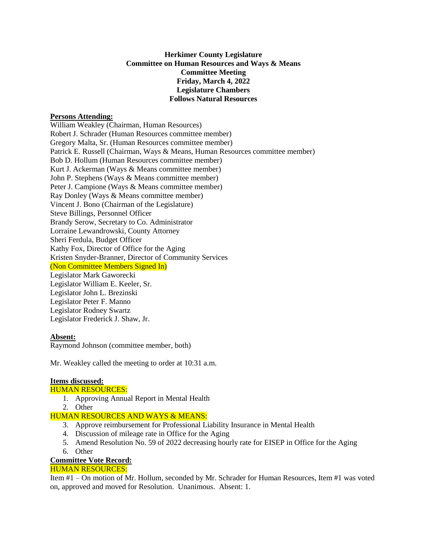## **Herkimer County Legislature Committee on Human Resources and Ways & Means Committee Meeting Friday, March 4, 2022 Legislature Chambers Follows Natural Resources**

## **Persons Attending:**

William Weakley (Chairman, Human Resources) Robert J. Schrader (Human Resources committee member) Gregory Malta, Sr. (Human Resources committee member) Patrick E. Russell (Chairman, Ways & Means, Human Resources committee member) Bob D. Hollum (Human Resources committee member) Kurt J. Ackerman (Ways & Means committee member) John P. Stephens (Ways & Means committee member) Peter J. Campione (Ways & Means committee member) Ray Donley (Ways & Means committee member) Vincent J. Bono (Chairman of the Legislature) Steve Billings, Personnel Officer Brandy Serow, Secretary to Co. Administrator Lorraine Lewandrowski, County Attorney Sheri Ferdula, Budget Officer Kathy Fox, Director of Office for the Aging Kristen Snyder-Branner, Director of Community Services (Non Committee Members Signed In) Legislator Mark Gaworecki Legislator William E. Keeler, Sr. Legislator John L. Brezinski Legislator Peter F. Manno Legislator Rodney Swartz Legislator Frederick J. Shaw, Jr.

### **Absent:**

Raymond Johnson (committee member, both)

Mr. Weakley called the meeting to order at 10:31 a.m.

# **Items discussed:**

### HUMAN RESOURCES:

- 1. Approving Annual Report in Mental Health
- 2. Other

## HUMAN RESOURCES AND WAYS & MEANS:

- 3. Approve reimbursement for Professional Liability Insurance in Mental Health
- 4. Discussion of mileage rate in Office for the Aging
- 5. Amend Resolution No. 59 of 2022 decreasing hourly rate for EISEP in Office for the Aging
- 6. Other

### **Committee Vote Record:**

# HUMAN RESOURCES:

Item #1 – On motion of Mr. Hollum, seconded by Mr. Schrader for Human Resources, Item #1 was voted on, approved and moved for Resolution. Unanimous. Absent: 1.